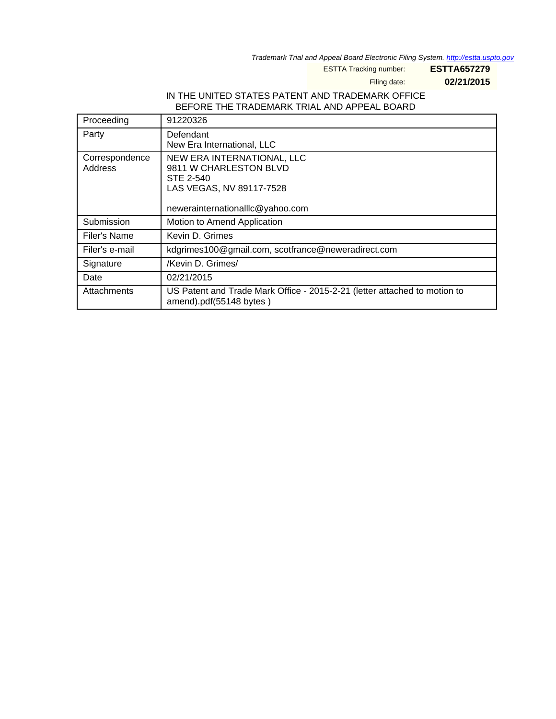Trademark Trial and Appeal Board Electronic Filing System. <http://estta.uspto.gov>

ESTTA Tracking number: **ESTTA657279**

Filing date: **02/21/2015**

## IN THE UNITED STATES PATENT AND TRADEMARK OFFICE BEFORE THE TRADEMARK TRIAL AND APPEAL BOARD

| Proceeding                | 91220326                                                                                                                          |
|---------------------------|-----------------------------------------------------------------------------------------------------------------------------------|
| Party                     | Defendant<br>New Era International, LLC                                                                                           |
| Correspondence<br>Address | NEW ERA INTERNATIONAL, LLC<br>9811 W CHARLESTON BLVD<br>STE 2-540<br>LAS VEGAS, NV 89117-7528<br>newerainternationalllc@yahoo.com |
| Submission                | Motion to Amend Application                                                                                                       |
| Filer's Name              | Kevin D. Grimes                                                                                                                   |
| Filer's e-mail            | kdgrimes100@gmail.com, scotfrance@neweradirect.com                                                                                |
| Signature                 | /Kevin D. Grimes/                                                                                                                 |
| Date                      | 02/21/2015                                                                                                                        |
| Attachments               | US Patent and Trade Mark Office - 2015-2-21 (letter attached to motion to<br>amend).pdf(55148 bytes)                              |